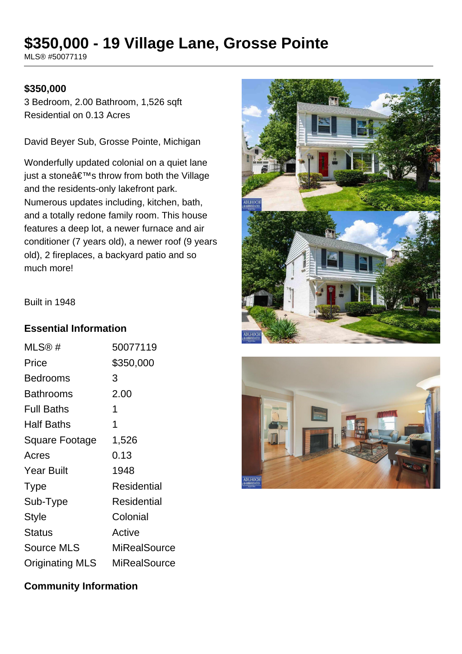# **\$350,000 - 19 Village Lane, Grosse Pointe**

MLS® #50077119

#### **\$350,000**

3 Bedroom, 2.00 Bathroom, 1,526 sqft Residential on 0.13 Acres

David Beyer Sub, Grosse Pointe, Michigan

Wonderfully updated colonial on a quiet lane just a stone $\hat{a} \in \text{TM}$ s throw from both the Village and the residents-only lakefront park. Numerous updates including, kitchen, bath, and a totally redone family room. This house features a deep lot, a newer furnace and air conditioner (7 years old), a newer roof (9 years old), 2 fireplaces, a backyard patio and so much more!





#### Built in 1948

#### **Essential Information**

| MLS@#                  | 50077119            |
|------------------------|---------------------|
| Price                  | \$350,000           |
| <b>Bedrooms</b>        | 3                   |
| <b>Bathrooms</b>       | 2.00                |
| <b>Full Baths</b>      | 1                   |
| Half Baths             | 1                   |
| Square Footage         | 1,526               |
| Acres                  | 0.13                |
| <b>Year Built</b>      | 1948                |
| Type                   | Residential         |
| Sub-Type               | Residential         |
| <b>Style</b>           | Colonial            |
| <b>Status</b>          | Active              |
| <b>Source MLS</b>      | <b>MiRealSource</b> |
| <b>Originating MLS</b> | MiRealSource        |

# **Community Information**